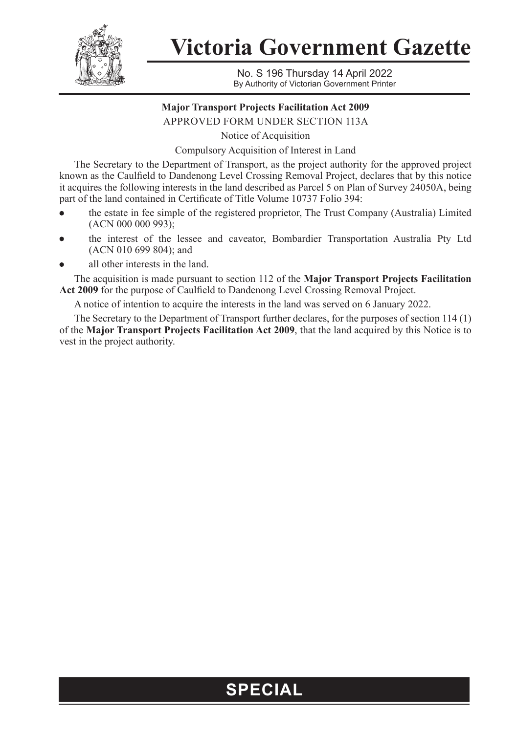

**Victoria Government Gazette**

No. S 196 Thursday 14 April 2022 By Authority of Victorian Government Printer

## **Major Transport Projects Facilitation Act 2009**  APPROVED FORM UNDER SECTION 113A

Notice of Acquisition

Compulsory Acquisition of Interest in Land

The Secretary to the Department of Transport, as the project authority for the approved project known as the Caulfield to Dandenong Level Crossing Removal Project, declares that by this notice it acquires the following interests in the land described as Parcel 5 on Plan of Survey 24050A, being part of the land contained in Certificate of Title Volume 10737 Folio 394:

- the estate in fee simple of the registered proprietor, The Trust Company (Australia) Limited (ACN 000 000 993);
- the interest of the lessee and caveator, Bombardier Transportation Australia Pty Ltd (ACN 010 699 804); and
- all other interests in the land.

The acquisition is made pursuant to section 112 of the **Major Transport Projects Facilitation Act 2009** for the purpose of Caulfield to Dandenong Level Crossing Removal Project.

A notice of intention to acquire the interests in the land was served on 6 January 2022.

The Secretary to the Department of Transport further declares, for the purposes of section 114 (1) of the **Major Transport Projects Facilitation Act 2009**, that the land acquired by this Notice is to vest in the project authority.

## **SPECIAL**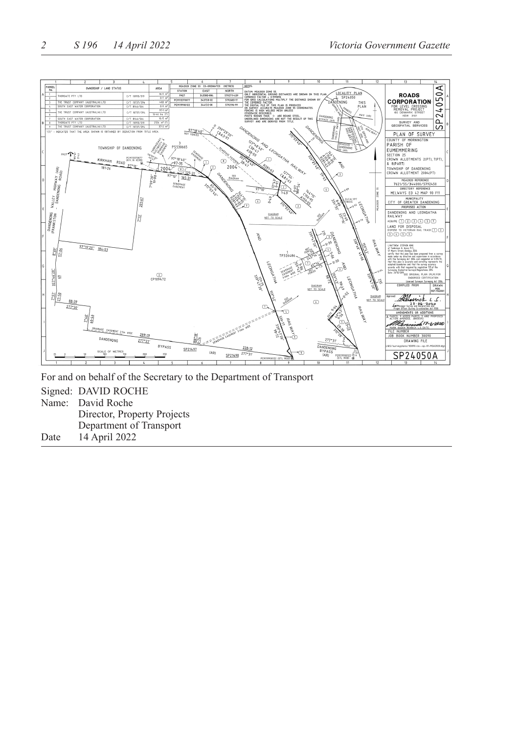

Signed: DAVID ROCHE Name: David Roche Director, Property Projects Department of Transport Date 14 April 2022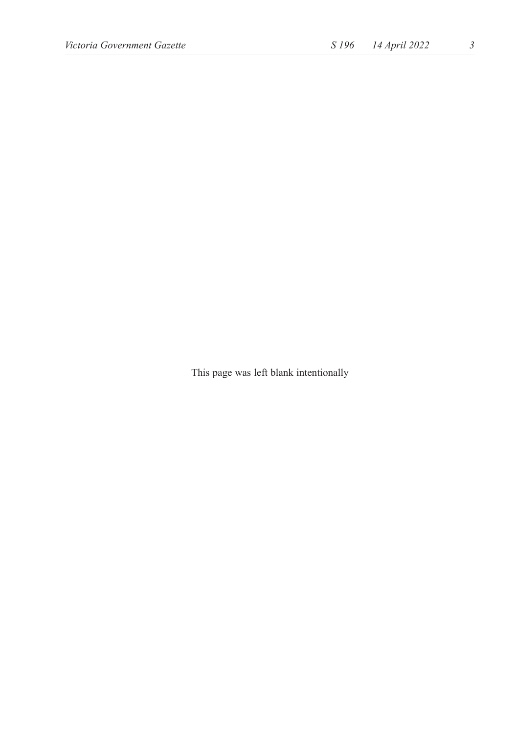This page was left blank intentionally